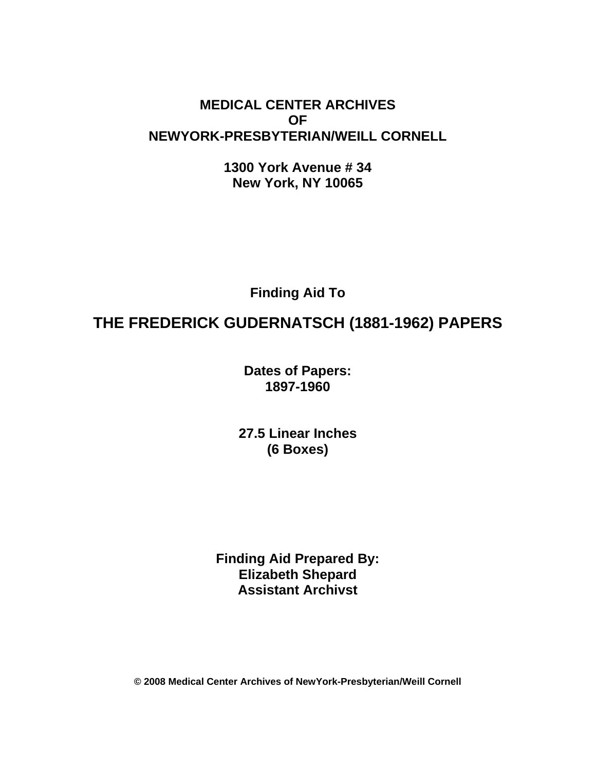## **MEDICAL CENTER ARCHIVES OF NEWYORK-PRESBYTERIAN/WEILL CORNELL**

**1300 York Avenue # 34 New York, NY 10065** 

**Finding Aid To** 

# **THE FREDERICK GUDERNATSCH (1881-1962) PAPERS**

**Dates of Papers: 1897-1960**

**27.5 Linear Inches (6 Boxes)** 

**Finding Aid Prepared By: Elizabeth Shepard Assistant Archivst** 

**© 2008 Medical Center Archives of NewYork-Presbyterian/Weill Cornell**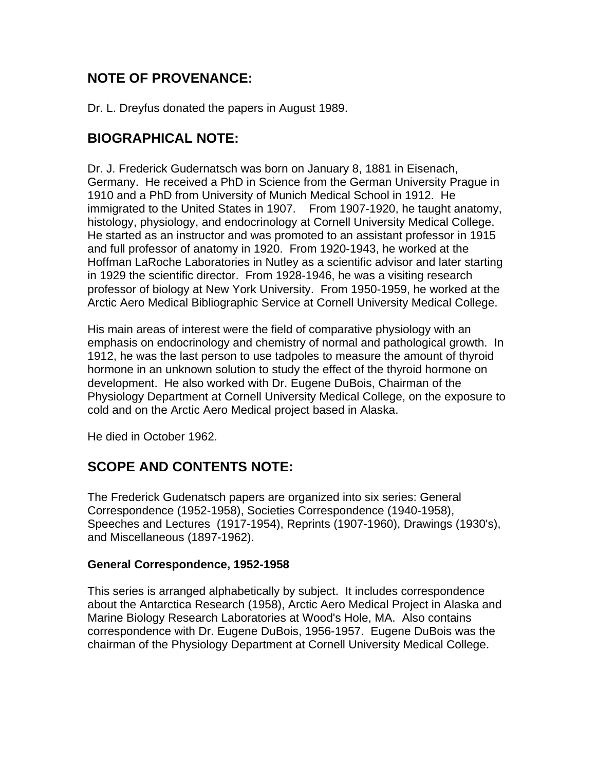## **NOTE OF PROVENANCE:**

Dr. L. Dreyfus donated the papers in August 1989.

## **BIOGRAPHICAL NOTE:**

Dr. J. Frederick Gudernatsch was born on January 8, 1881 in Eisenach, Germany. He received a PhD in Science from the German University Prague in 1910 and a PhD from University of Munich Medical School in 1912. He immigrated to the United States in 1907. From 1907-1920, he taught anatomy, histology, physiology, and endocrinology at Cornell University Medical College. He started as an instructor and was promoted to an assistant professor in 1915 and full professor of anatomy in 1920. From 1920-1943, he worked at the Hoffman LaRoche Laboratories in Nutley as a scientific advisor and later starting in 1929 the scientific director. From 1928-1946, he was a visiting research professor of biology at New York University. From 1950-1959, he worked at the Arctic Aero Medical Bibliographic Service at Cornell University Medical College.

His main areas of interest were the field of comparative physiology with an emphasis on endocrinology and chemistry of normal and pathological growth. In 1912, he was the last person to use tadpoles to measure the amount of thyroid hormone in an unknown solution to study the effect of the thyroid hormone on development. He also worked with Dr. Eugene DuBois, Chairman of the Physiology Department at Cornell University Medical College, on the exposure to cold and on the Arctic Aero Medical project based in Alaska.

He died in October 1962.

## **SCOPE AND CONTENTS NOTE:**

The Frederick Gudenatsch papers are organized into six series: General Correspondence (1952-1958), Societies Correspondence (1940-1958), Speeches and Lectures (1917-1954), Reprints (1907-1960), Drawings (1930's), and Miscellaneous (1897-1962).

### **General Correspondence, 1952-1958**

This series is arranged alphabetically by subject. It includes correspondence about the Antarctica Research (1958), Arctic Aero Medical Project in Alaska and Marine Biology Research Laboratories at Wood's Hole, MA. Also contains correspondence with Dr. Eugene DuBois, 1956-1957. Eugene DuBois was the chairman of the Physiology Department at Cornell University Medical College.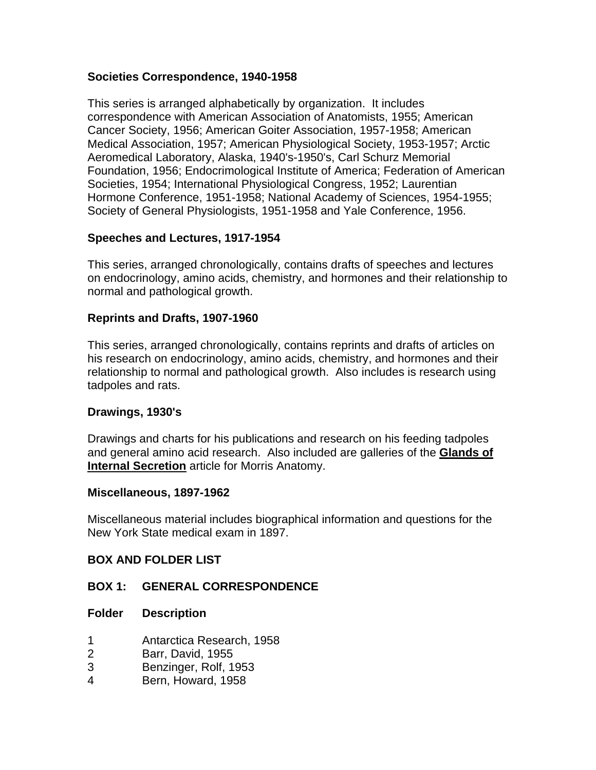#### **Societies Correspondence, 1940-1958**

This series is arranged alphabetically by organization. It includes correspondence with American Association of Anatomists, 1955; American Cancer Society, 1956; American Goiter Association, 1957-1958; American Medical Association, 1957; American Physiological Society, 1953-1957; Arctic Aeromedical Laboratory, Alaska, 1940's-1950's, Carl Schurz Memorial Foundation, 1956; Endocrimological Institute of America; Federation of American Societies, 1954; International Physiological Congress, 1952; Laurentian Hormone Conference, 1951-1958; National Academy of Sciences, 1954-1955; Society of General Physiologists, 1951-1958 and Yale Conference, 1956.

#### **Speeches and Lectures, 1917-1954**

This series, arranged chronologically, contains drafts of speeches and lectures on endocrinology, amino acids, chemistry, and hormones and their relationship to normal and pathological growth.

#### **Reprints and Drafts, 1907-1960**

This series, arranged chronologically, contains reprints and drafts of articles on his research on endocrinology, amino acids, chemistry, and hormones and their relationship to normal and pathological growth. Also includes is research using tadpoles and rats.

#### **Drawings, 1930's**

Drawings and charts for his publications and research on his feeding tadpoles and general amino acid research. Also included are galleries of the **Glands of Internal Secretion** article for Morris Anatomy.

#### **Miscellaneous, 1897-1962**

Miscellaneous material includes biographical information and questions for the New York State medical exam in 1897.

#### **BOX AND FOLDER LIST**

#### **BOX 1: GENERAL CORRESPONDENCE**

#### **Folder Description**

- 1 Antarctica Research, 1958
- 2 Barr, David, 1955
- 3 Benzinger, Rolf, 1953
- 4 Bern, Howard, 1958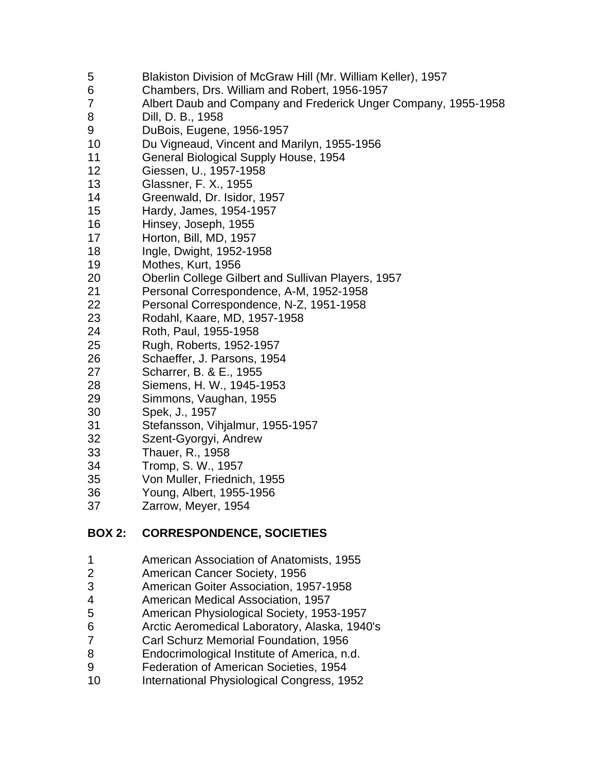- 5 Blakiston Division of McGraw Hill (Mr. William Keller), 1957
- 6 Chambers, Drs. William and Robert, 1956-1957
- 7 Albert Daub and Company and Frederick Unger Company, 1955-1958
- 8 Dill, D. B., 1958
- 9 DuBois, Eugene, 1956-1957
- 10 Du Vigneaud, Vincent and Marilyn, 1955-1956
- 11 General Biological Supply House, 1954
- 12 Giessen, U., 1957-1958
- 13 Glassner, F. X., 1955
- 14 Greenwald, Dr. Isidor, 1957
- 15 Hardy, James, 1954-1957
- 16 Hinsey, Joseph, 1955
- 17 Horton, Bill, MD, 1957
- 18 Ingle, Dwight, 1952-1958
- 19 Mothes, Kurt, 1956
- 20 Oberlin College Gilbert and Sullivan Players, 1957
- 21 Personal Correspondence, A-M, 1952-1958
- 22 Personal Correspondence, N-Z, 1951-1958
- 23 Rodahl, Kaare, MD, 1957-1958
- 24 Roth, Paul, 1955-1958
- 25 Rugh, Roberts, 1952-1957
- 26 Schaeffer, J. Parsons, 1954
- 27 Scharrer, B. & E., 1955
- 28 Siemens, H. W., 1945-1953
- 29 Simmons, Vaughan, 1955
- 30 Spek, J., 1957
- 31 Stefansson, Vihjalmur, 1955-1957
- 32 Szent-Gyorgyi, Andrew
- 33 Thauer, R., 1958
- 34 Tromp, S. W., 1957
- 35 Von Muller, Friednich, 1955
- 36 Young, Albert, 1955-1956
- 37 Zarrow, Meyer, 1954

### **BOX 2: CORRESPONDENCE, SOCIETIES**

- 1 American Association of Anatomists, 1955
- 2 American Cancer Society, 1956
- 3 American Goiter Association, 1957-1958
- 4 American Medical Association, 1957
- 5 American Physiological Society, 1953-1957
- 6 Arctic Aeromedical Laboratory, Alaska, 1940's
- 7 Carl Schurz Memorial Foundation, 1956
- 8 Endocrimological Institute of America, n.d.
- 9 Federation of American Societies, 1954
- 10 International Physiological Congress, 1952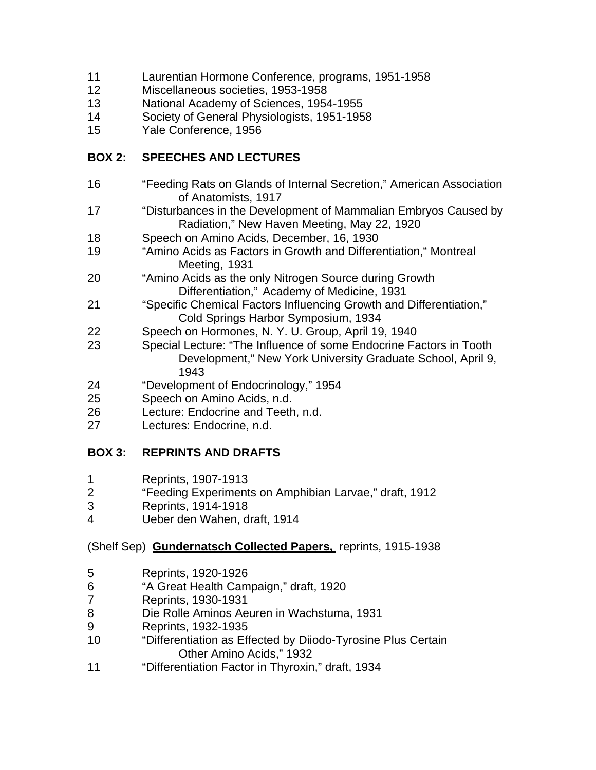- 11 Laurentian Hormone Conference, programs, 1951-1958
- 12 Miscellaneous societies, 1953-1958
- 13 National Academy of Sciences, 1954-1955
- 14 Society of General Physiologists, 1951-1958
- 15 Yale Conference, 1956

### **BOX 2: SPEECHES AND LECTURES**

- 16 "Feeding Rats on Glands of Internal Secretion," American Association of Anatomists, 1917
- 17 "Disturbances in the Development of Mammalian Embryos Caused by Radiation," New Haven Meeting, May 22, 1920
- 18 Speech on Amino Acids, December, 16, 1930
- 19 "Amino Acids as Factors in Growth and Differentiation," Montreal Meeting, 1931
- 20 "Amino Acids as the only Nitrogen Source during Growth Differentiation," Academy of Medicine, 1931
- 21 "Specific Chemical Factors Influencing Growth and Differentiation," Cold Springs Harbor Symposium, 1934
- 22 Speech on Hormones, N. Y. U. Group, April 19, 1940
- 23 Special Lecture: "The Influence of some Endocrine Factors in Tooth Development," New York University Graduate School, April 9, 1943
- 24 "Development of Endocrinology," 1954
- 25 Speech on Amino Acids, n.d.
- 26 Lecture: Endocrine and Teeth, n.d.
- 27 Lectures: Endocrine, n.d.

### **BOX 3: REPRINTS AND DRAFTS**

- 1 Reprints, 1907-1913
- 2 "Feeding Experiments on Amphibian Larvae," draft, 1912
- 3 Reprints, 1914-1918
- 4 Ueber den Wahen, draft, 1914

#### (Shelf Sep) **Gundernatsch Collected Papers,** reprints, 1915-1938

- 5 Reprints, 1920-1926
- 6 "A Great Health Campaign," draft, 1920
- 7 Reprints, 1930-1931
- 8 Die Rolle Aminos Aeuren in Wachstuma, 1931
- 9 Reprints, 1932-1935
- 10 "Differentiation as Effected by Diiodo-Tyrosine Plus Certain Other Amino Acids," 1932
- 11 "Differentiation Factor in Thyroxin," draft, 1934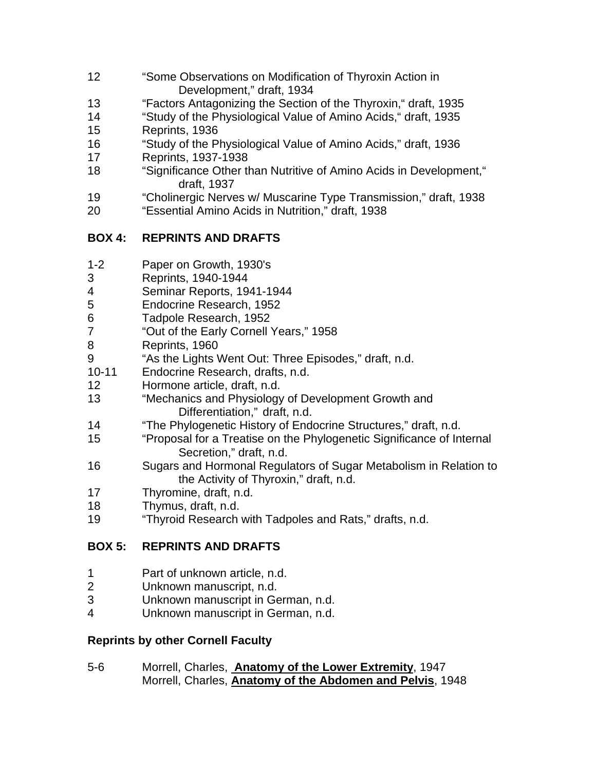- 12 "Some Observations on Modification of Thyroxin Action in Development," draft, 1934
- 13 "Factors Antagonizing the Section of the Thyroxin," draft, 1935
- 14 "Study of the Physiological Value of Amino Acids," draft, 1935
- 15 Reprints, 1936
- 16 "Study of the Physiological Value of Amino Acids," draft, 1936
- 17 Reprints, 1937-1938
- 18 "Significance Other than Nutritive of Amino Acids in Development," draft, 1937
- 19 "Cholinergic Nerves w/ Muscarine Type Transmission," draft, 1938
- 20 "Essential Amino Acids in Nutrition," draft, 1938

## **BOX 4: REPRINTS AND DRAFTS**

- 1-2 Paper on Growth, 1930's
- 3 Reprints, 1940-1944
- 4 Seminar Reports, 1941-1944
- 5 Endocrine Research, 1952
- 6 Tadpole Research, 1952
- 7 "Out of the Early Cornell Years," 1958
- 8 Reprints, 1960
- 9 "As the Lights Went Out: Three Episodes," draft, n.d.
- 10-11 Endocrine Research, drafts, n.d.
- 12 Hormone article, draft, n.d.
- 13 "Mechanics and Physiology of Development Growth and Differentiation," draft, n.d.
- 14 "The Phylogenetic History of Endocrine Structures," draft, n.d.
- 15 "Proposal for a Treatise on the Phylogenetic Significance of Internal Secretion," draft, n.d.
- 16 Sugars and Hormonal Regulators of Sugar Metabolism in Relation to the Activity of Thyroxin," draft, n.d.
- 17 Thyromine, draft, n.d.
- 18 Thymus, draft, n.d.
- 19 "Thyroid Research with Tadpoles and Rats," drafts, n.d.

## **BOX 5: REPRINTS AND DRAFTS**

- 1 Part of unknown article, n.d.
- 2 Unknown manuscript, n.d.
- 3 Unknown manuscript in German, n.d.
- 4 Unknown manuscript in German, n.d.

## **Reprints by other Cornell Faculty**

5-6 Morrell, Charles, **Anatomy of the Lower Extremity**, 1947 Morrell, Charles, **Anatomy of the Abdomen and Pelvis**, 1948